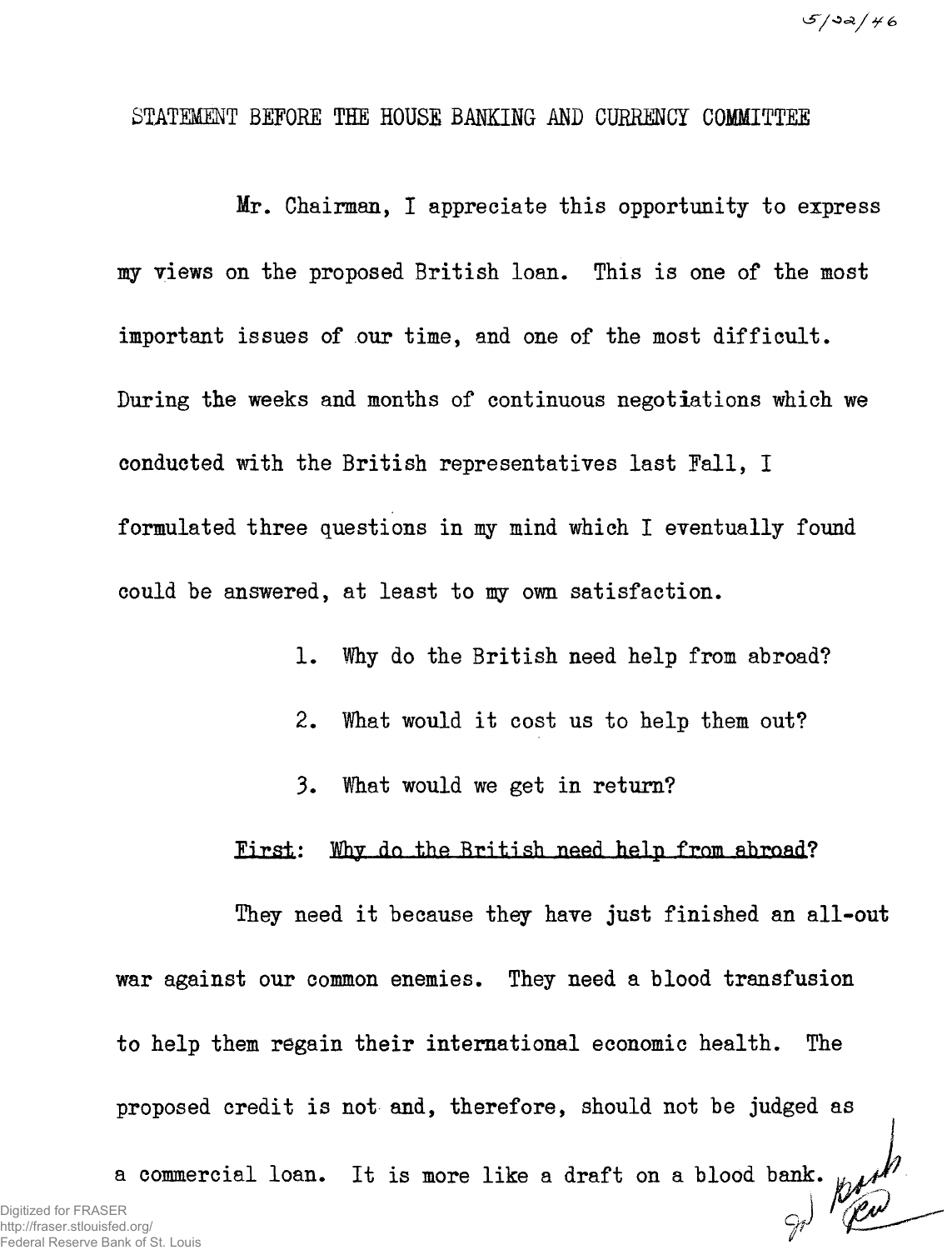## STATEMENT BEFORE THE HOUSE BANKING AND CURRENCY COMMITTEE

**Mr. Chairman, I appreciate this opportunity to express my views on the proposed British loan. This is one of the most important issues of our time, and one of the most difficult. During the weeks and months of continuous negotiations which we conducted with the British representatives last Pall, I formulated three questions in my mind which I eventually found could be answered, at least to my own satisfaction.** 

- **1. Why do the British need help from abroad?**
- **2. What would it cost us to help them out?**
- **3. What would we get in return?**

### **Iirs±: Why do the British need help from abroad?**

**They need it because they have just finished an all-out war against our common enemies. They need a blood transfusion to help them regain their international economic health. The proposed credit is not and, therefore, should not be judged as** 

**a commercial loan. It is more like a draft on a blood bank.**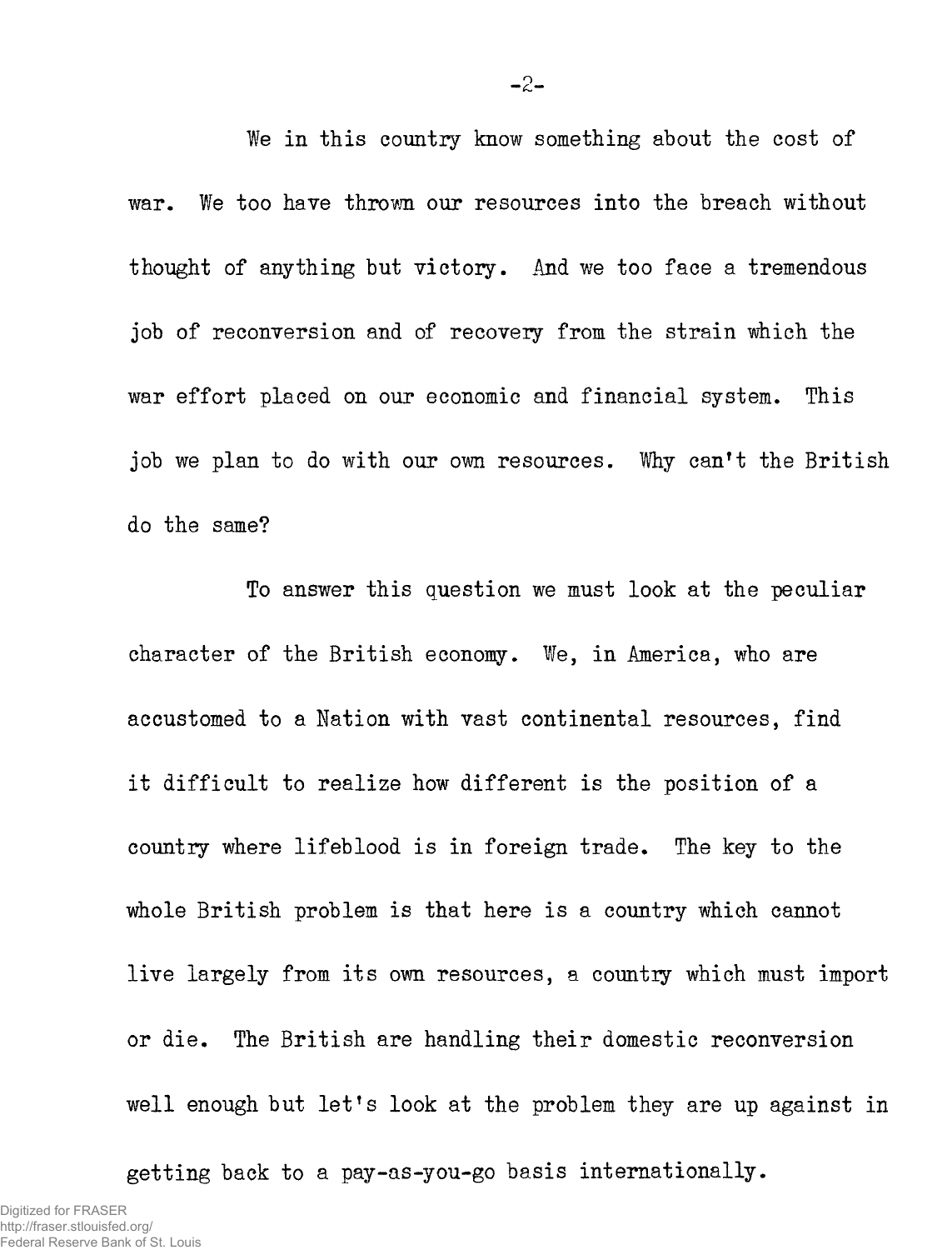**We in this country know something about the cost of war. We too have thrown our resources into the breach without thought of anything but victory. And we too face a tremendous job of reconversion and of recovery from the strain which the war effort placed on our economic and financial system. This job we plan to do with our own resources. Why can't the British do the same?** 

**To answer this question we must look at the peculiar character of the British economy. We, in America, who are accustomed to a Nation with vast continental resources, find it difficult to realize how different is the position of a country where lifeblood is in foreign trade. The key to the whole British problem is that here is a country which cannot live largely from its own resources, a countiy which must import or die. The British are handling their domestic reconversion well enough but let's look at the problem they are up against in** 

**getting back to a pay-as-you-go basis internationally.**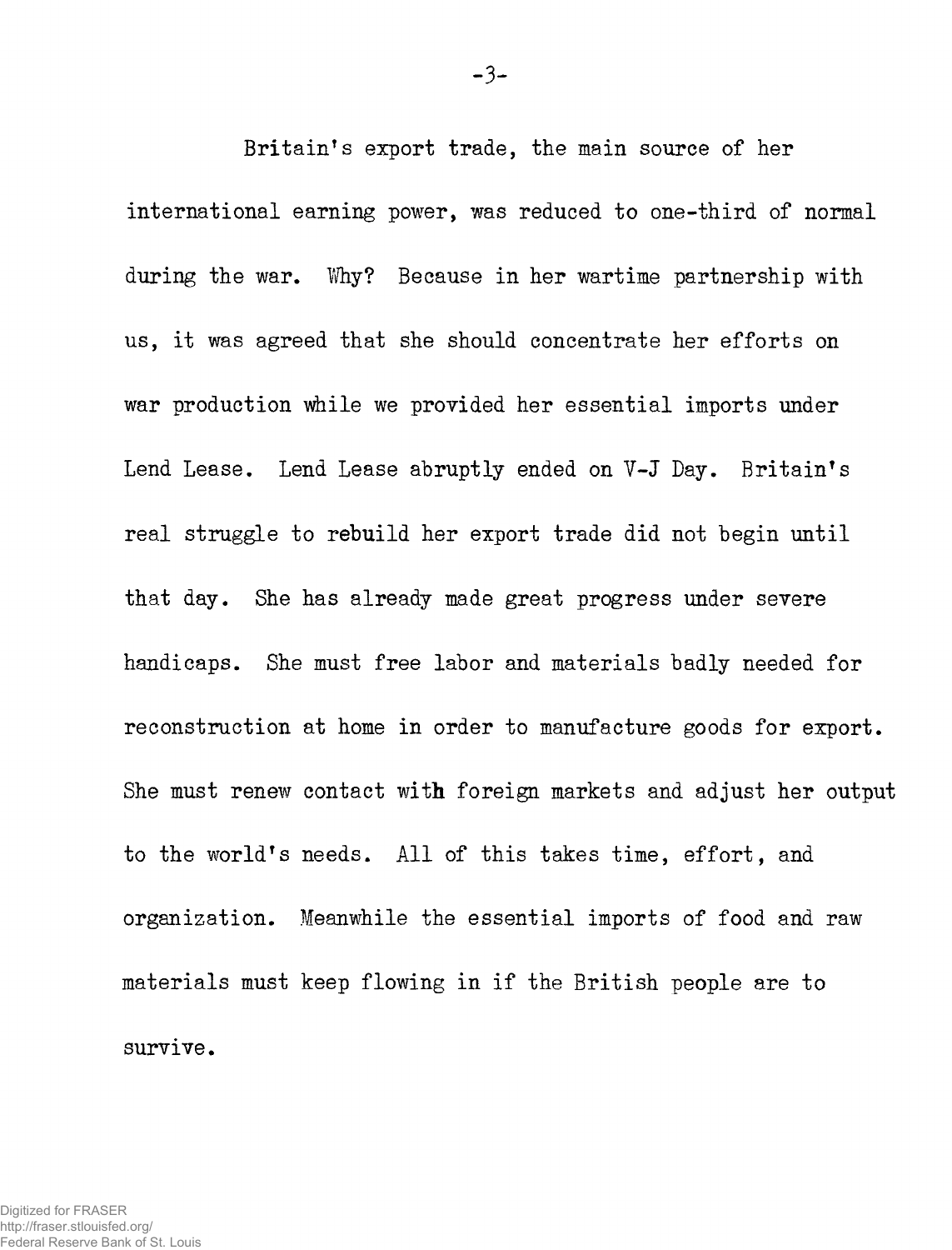**Britain's export trade, the main source of her international earning power, was reduced to one-third of normal**  during the war. Why? Because in her wartime partnership with **us, it was agreed that she should concentrate her efforts on war production while we provided her essential imports under Lend Lease. Lend Lease abruptly ended on V-J Day. Britain s real struggle to rebuild her export trade did not begin until that day. She has already made great progress under severe handicaps. She must free labor and materials badly needed for reconstruction at home in order to manufacture goods for export. She must renew contact with foreign markets and adjust her output to the world's needs. All of this takes time, effort, and organization. Meanwhile the essential imports of food and raw materials must keep flowing in if the British people are to survive.**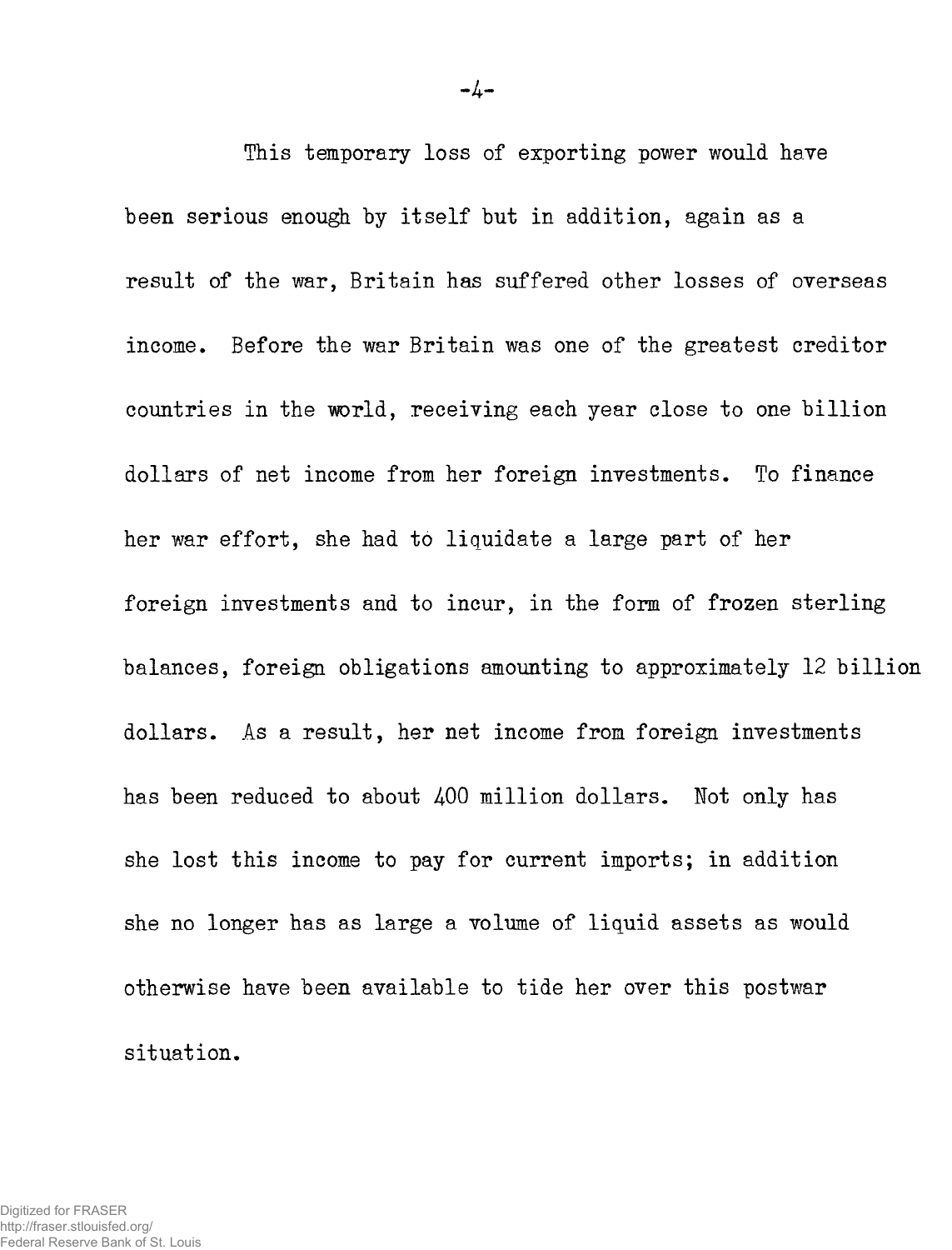**This temporary loss of exporting power would have been serious enough by itself but in addition, again as a result of the war, Britain has suffered other losses of overseas income. Before the war Britain was one of the greatest creditor countries in the world, receiving each year close to one billion dollars of net income from her foreign investments. To finance her war effort, she had to liquidate a large part of her foreign investments and to incur, in the form of frozen sterling balances, foreign obligations amounting to approximately 12 billion dollars. As a result, her net income from foreign investments has been reduced to about 400 million dollars. Not only has she lost this income to pay for current imports; in addition she no longer has as large a volume of liquid assets as would otherwise have been available to tide her over this postwar situation.**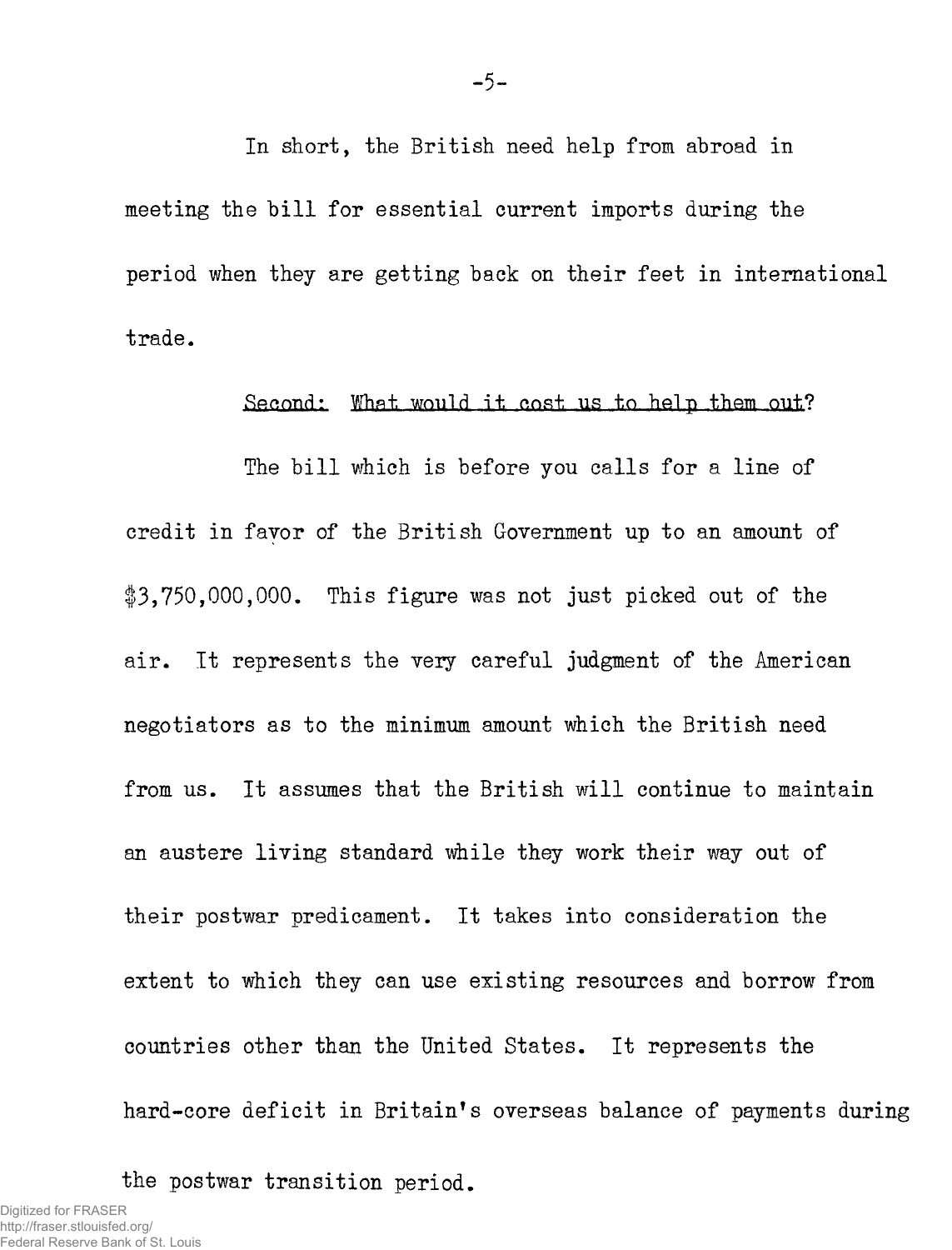**In short, the British need help from abroad in meeting the bill for essential current imports during the period when they are getting back on their feet in international trade.** 

### Second: What would it cost us to help them out?

**The bill which is before you calls for a line of credit in favor of the British Government up to an amount of 13,750,000,000. This figure was not just picked out of the air. It represents the very careful judgment of the American negotiators as to the minimum amount which the British need from us. It assumes that the British will continue to maintain an austere living standard while they work their way out of their postwar predicament. It takes into consideration the extent to which they can use existing resources and borrow from countries other than the United States. It represents the hard-core deficit in Britain's overseas balance of payments during** 

**the postwar transition period.**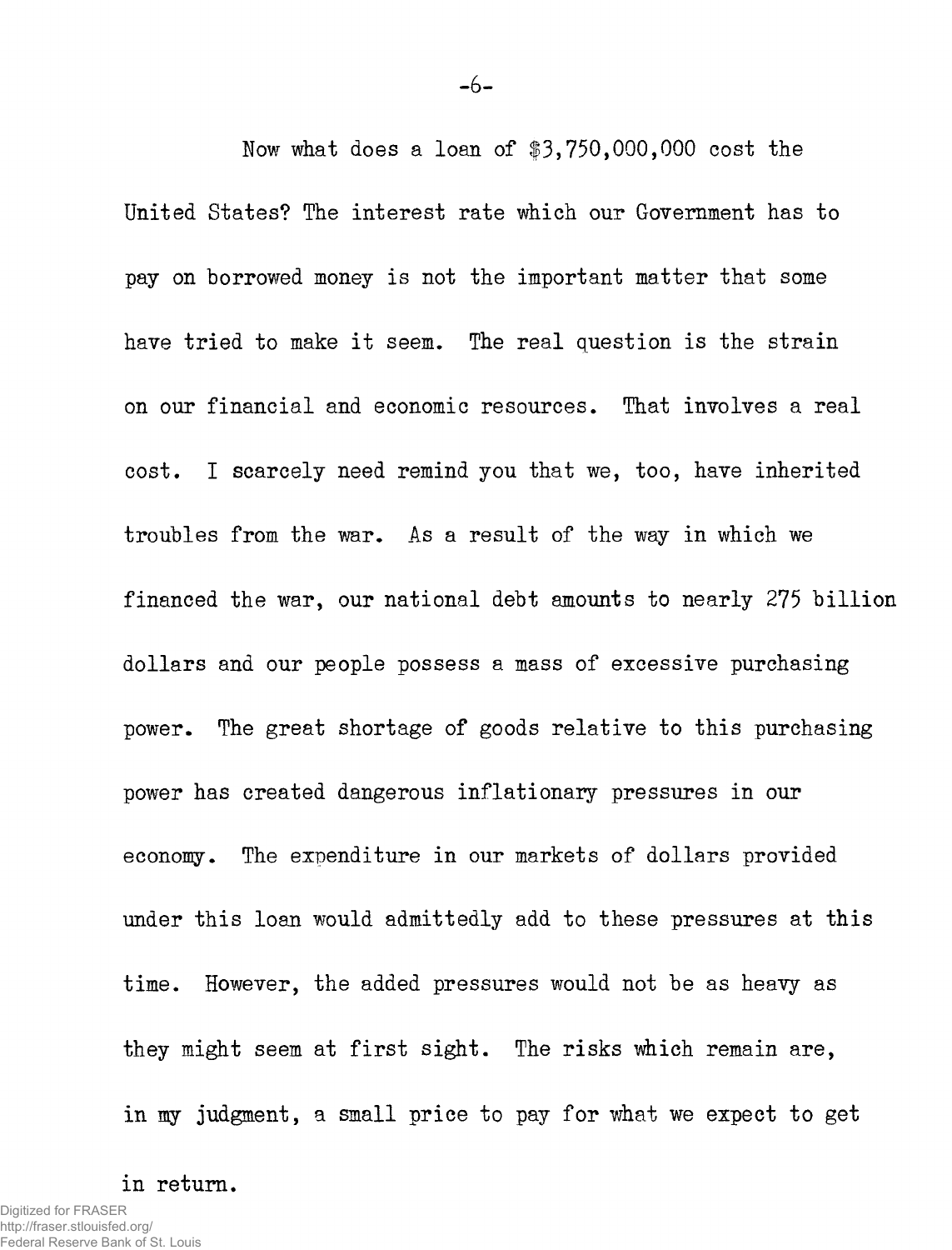**Now what does a loan of \$3,750,000,000 cost the United States? The interest rate which our Government has to pay on borrowed money is not the important matter that some have tried to make it seem. The real question is the strain on our financial and economic resources. That involves a real cost. I scarcely need remind you that we, too, have inherited troubles from the war. As a result of the way in which we financed the war, our national debt amounts to nearly 275 billion dollars and our people possess a mass of excessive purchasing power. The great shortage of goods relative to this purchasing power has created dangerous inflationary pressures in our economy. The expenditure in our markets of dollars provided under this loan would admittedly add to these pressures at this time. However, the added pressures would not be as heavy as they might seem at first sight. The risks which remain are, in my judgment, a small price to pay for what we expect to get** 

## **in return.**

**-6-**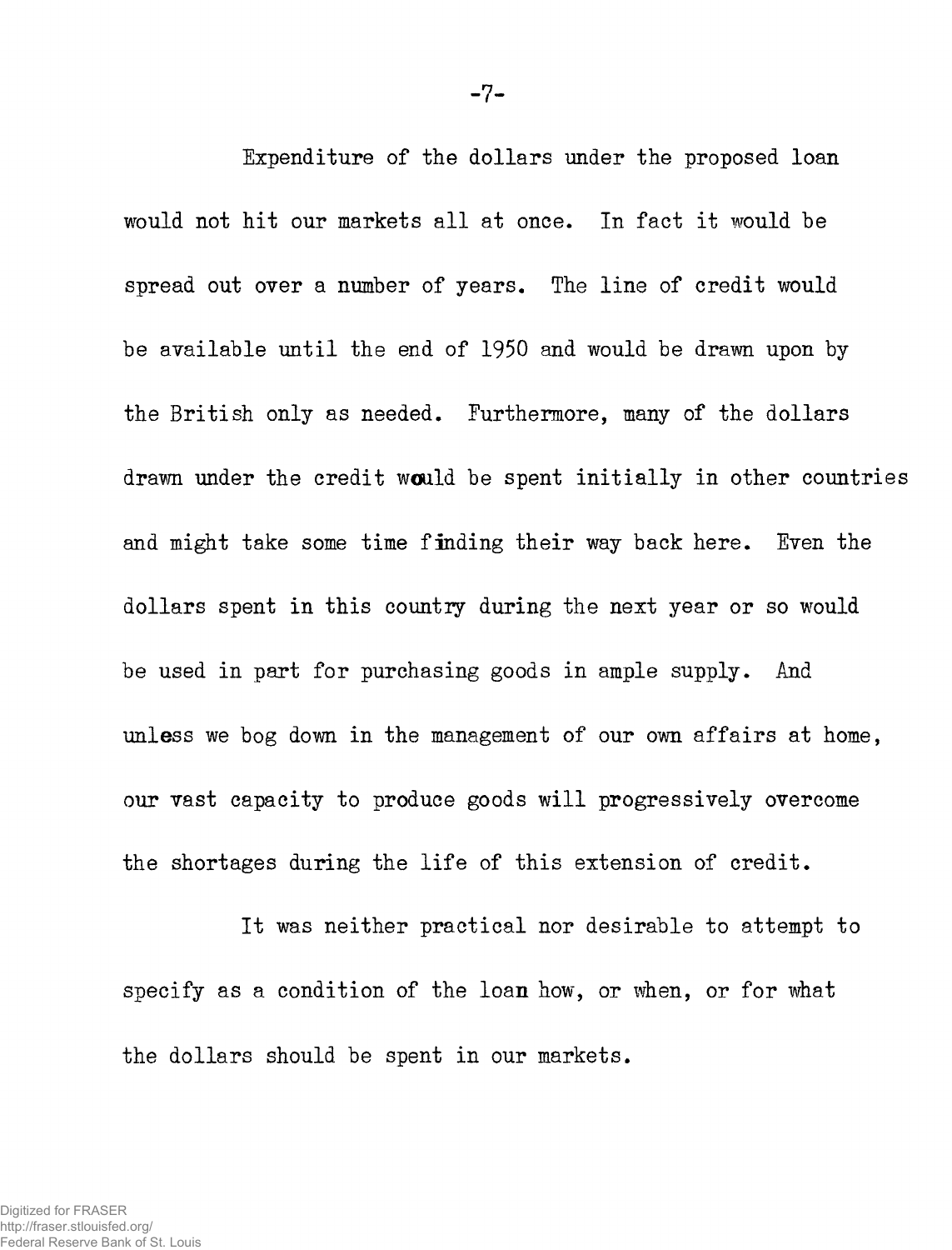**Ixpenditure of the dollars under the proposed loan would not hit our markets all at once. In fact it would be spread out over a number of years. The line of credit would be available until the end of 1950 and would be drawn upon by the British only as needed. Furthermore, many of the dollars drawn under the credit would be spent initially in other countries and might take some time finding their way back here. Even the dollars spent in this country during the next year or so would be used in part for purchasing goods in ample supply. And unless we bog down in the management of our own affairs at home, our vast capacity to produce goods will progressively overcome the shortages during the life of this extension of credit.** 

**It was neither practical nor desirable to attempt to specify as a condition of the loan how, or when, or for what the dollars should be spent in our markets.**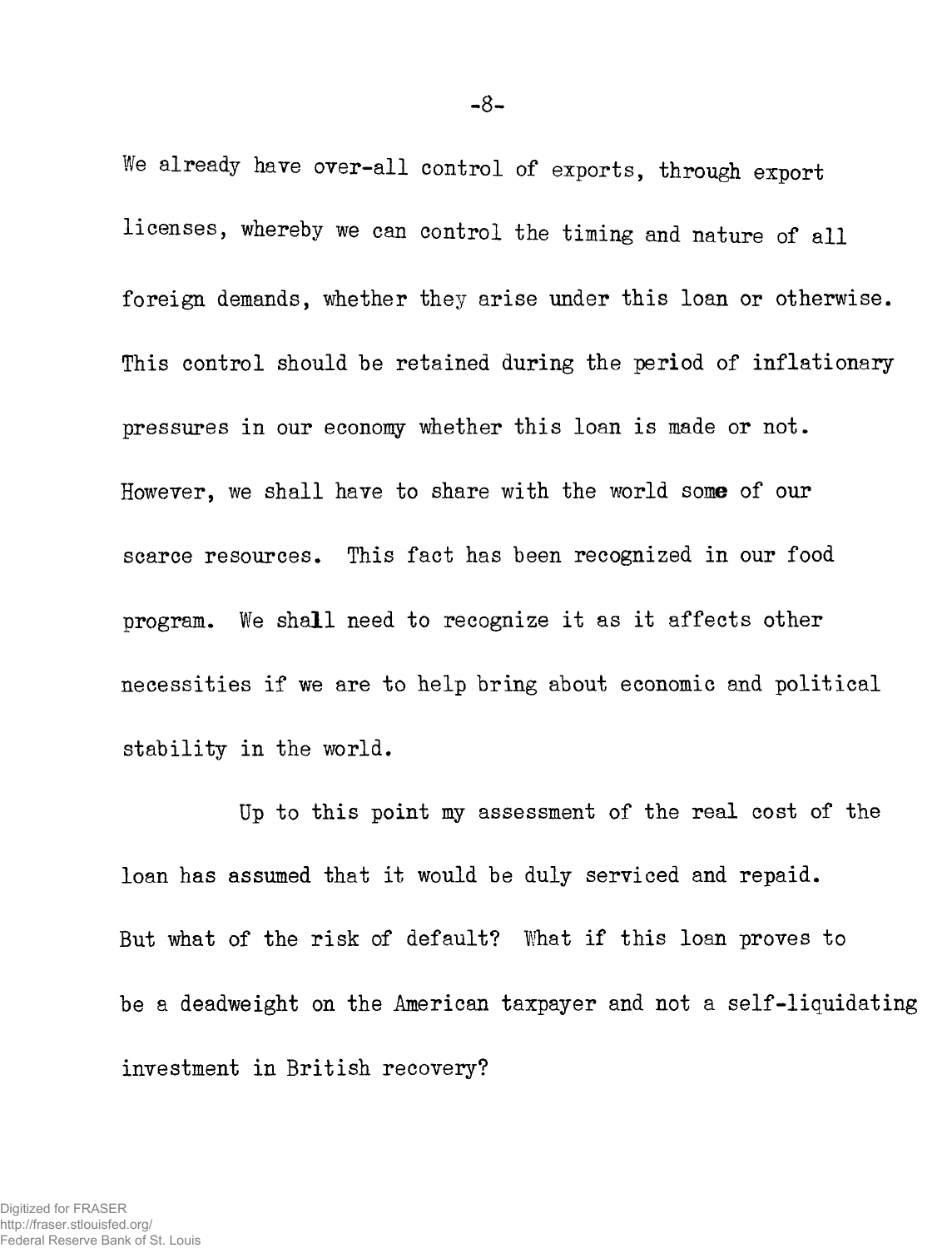**We already have over-all control of exports, through export licenses, whereby we can control the timing and nature of all foreign demands, whether they arise under this loan or otherwise. This control should be retained during the period of inflationary pressures in our economy whether this loan is made or not. However, we shall have to share with the world some of our scarce resources. This fact has been recognized in our food program. We shall need to recognize it as it affects other necessities if we are to help bring about economic and political stability in the world.** 

**Up to this point my assessment of the real cost of the loan has assumed that it would be duly serviced and repaid. But what of the risk of default? What if this loan proves to be a deadweight on the American taxpayer and not a self-liquidating investment in British recovery?**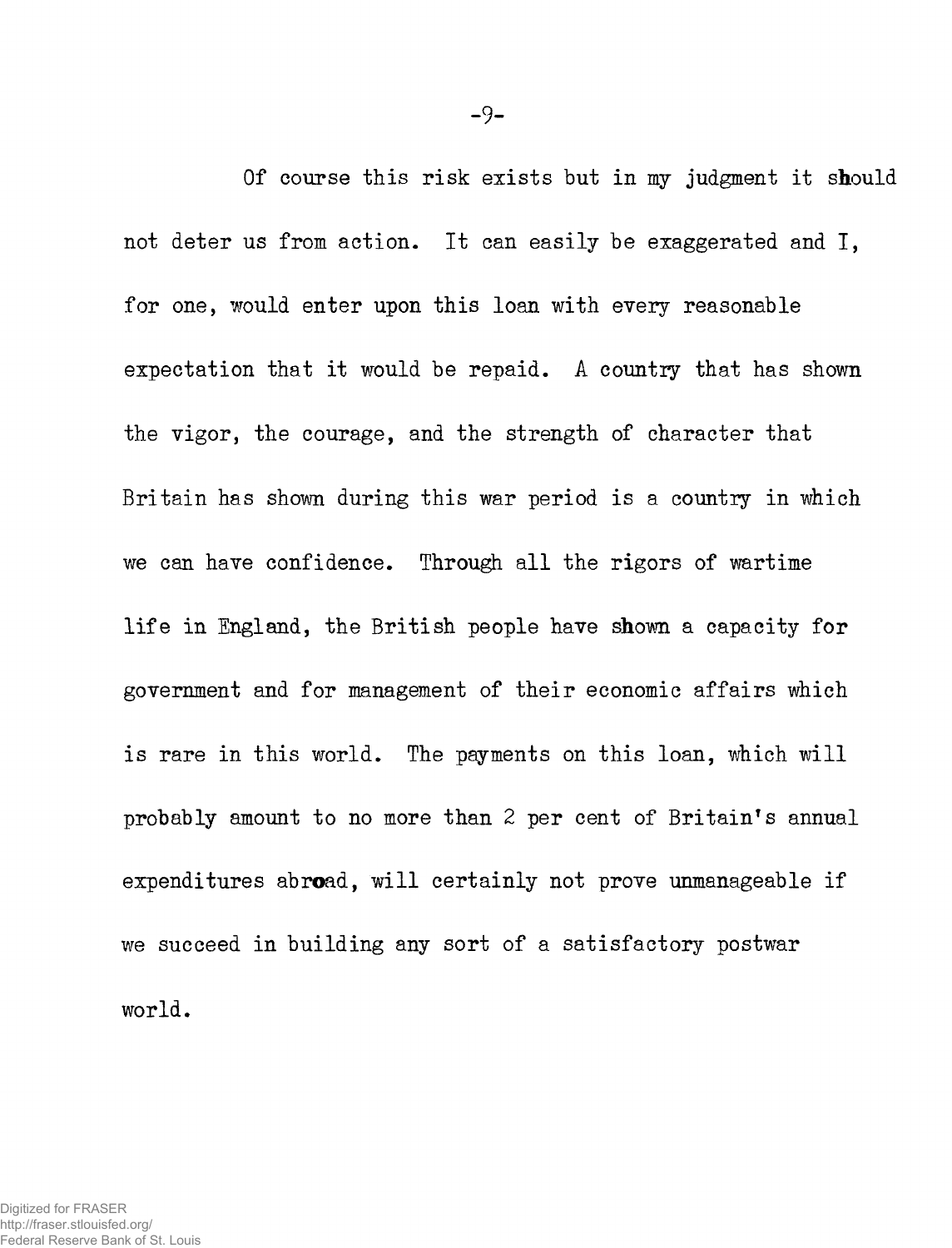**Of course this risk exists but in my judgment it should not deter us from action. It can easily be exaggerated and I, for one, would enter upon this loan with every reasonable expectation that it would be repaid. A country that has shown the vigor, the courage, and the strength of character that Britain has shown during this war period is a country in which we can have confidence. Through all the rigors of wartime life in England, the British people have shown a capacity for government and for management of their economic affairs which is rare in this world. The payments on this loan, which will probably amount to no more than 2 per cent of Britain's annual expenditures abroad, will certainly not prove unmanageable if we succeed in building any sort of a satisfactory postwar world.**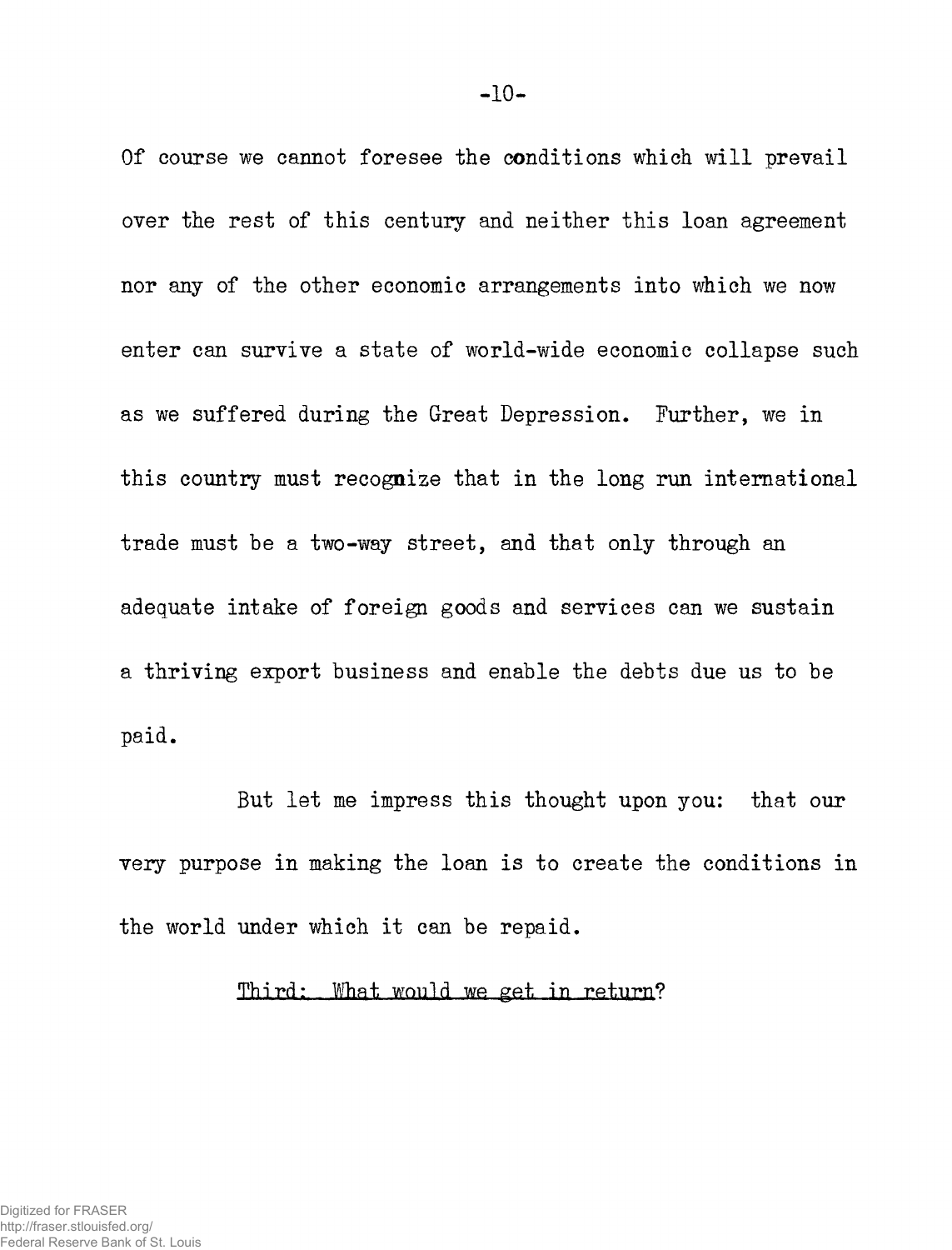**Of course we cannot foresee the conditions which will prevail over the rest of this century and neither this loan agreement nor any of the other economic arrangements into which we now enter can survive a state of world-wide economic collapse such as we suffered during the Great Depression. Further, we in this country must recognize that in the long run international trade must be a two-way street, and that only through an adequate intake of foreign goods and services can we sustain a thriving export business and enable the debts due us to be paid.** 

**But let me impress this thought upon you: that our very purpose in making the loan is to create the conditions in the world under which it can be repaid.** 

# Third: What would we get in return?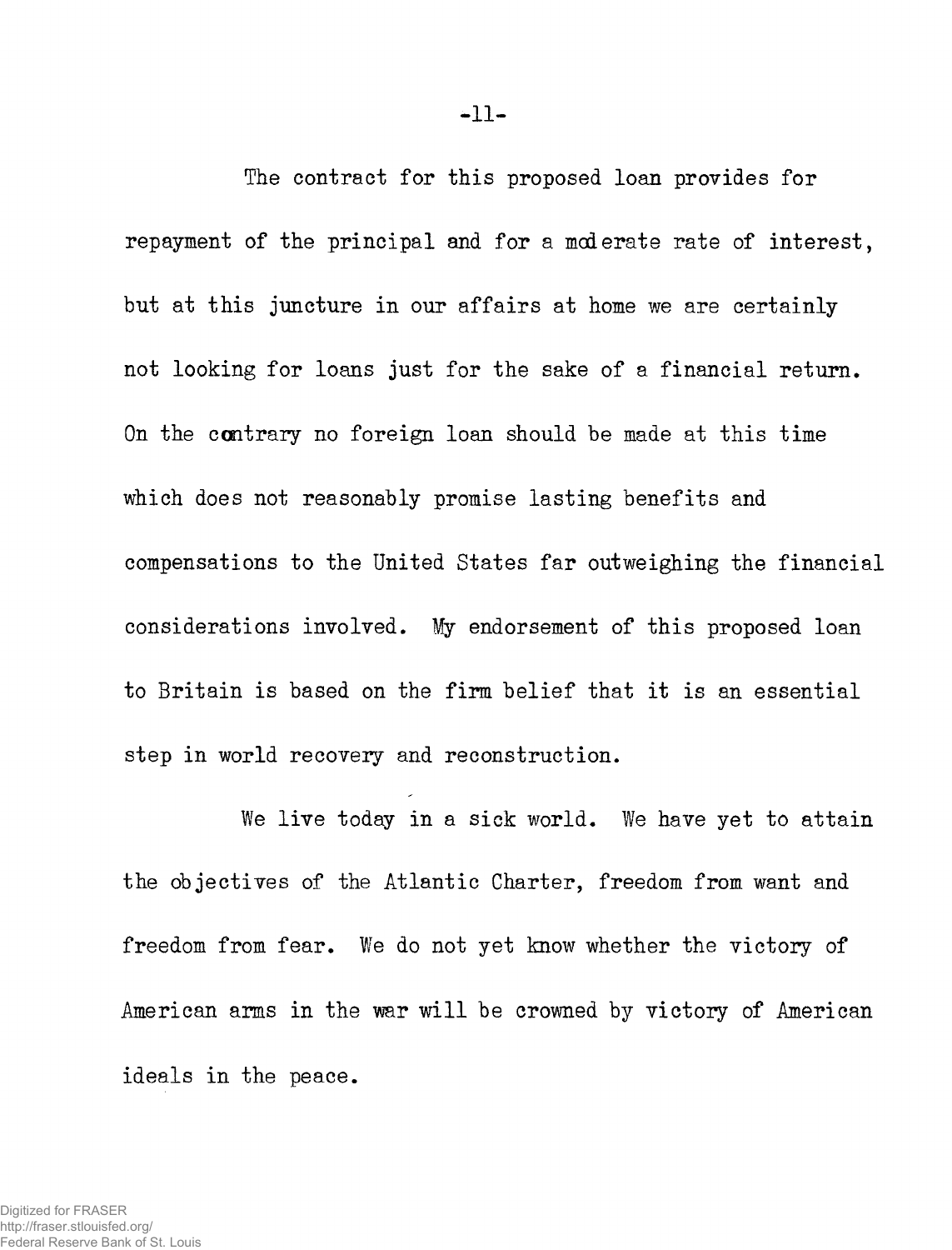**The contract for this proposed loan provides for repayment of the principal and for a moderate rate of interest, but at this juncture in our affairs at home we are certainly not looking for loans just for the sake of a financial return. On the contrary no foreign loan should be made at this time which does not reasonably promise lasting benefits and compensations to the United States far outweighing the financial considerations involved. My endorsement of this proposed loan to Britain is based on the firm belief that it is an essential step in world recovery and reconstruction.** 

**We live today in a sick world. We have yet to attain the objectives of the Atlantic Charter, freedom from want and freedom from fear. We do not yet know whether the victory of American arms in the war will be crowned by victory of American ideals in the peace.**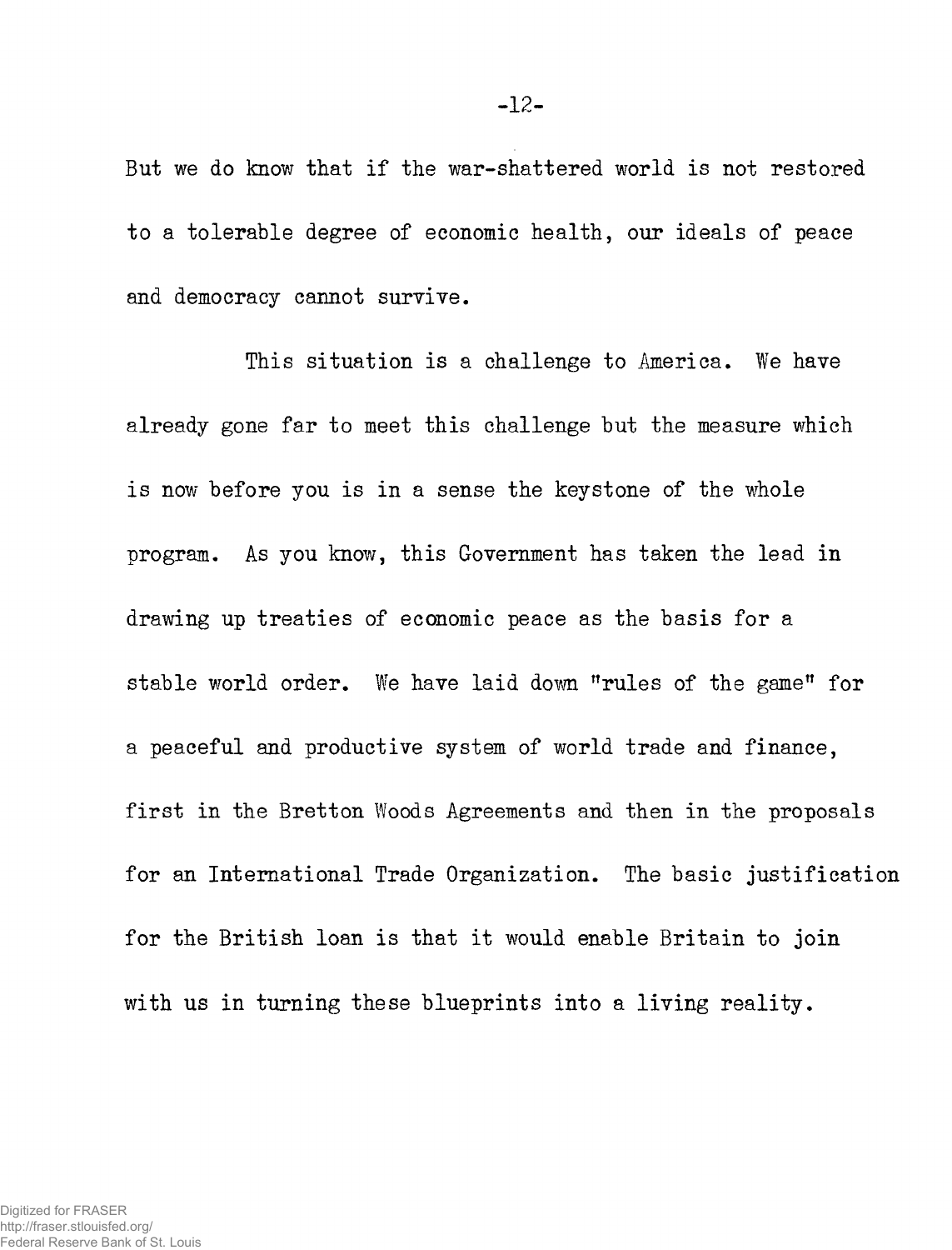**But we do know that if the war-shattered world is not restored to a tolerable degree of economic health, our ideals of peace and democracy cannot survive.** 

**This situation is a challenge to America. We have already gone far to meet this challenge but the measure which is now before you is in a sense the keystone of the whole program. As you know, this Government has taken the lead in drawing up treaties of economic peace as the basis for a stable world order. We have laid down rules of the game" for a peaceful and productive system of world trade and finance, first in the Bretton Woods Agreements and then in the proposals for an International Trade Organization. The basic justification for the British loan is that it would enable Britain to join with us in turning these blueprints into a living reality.**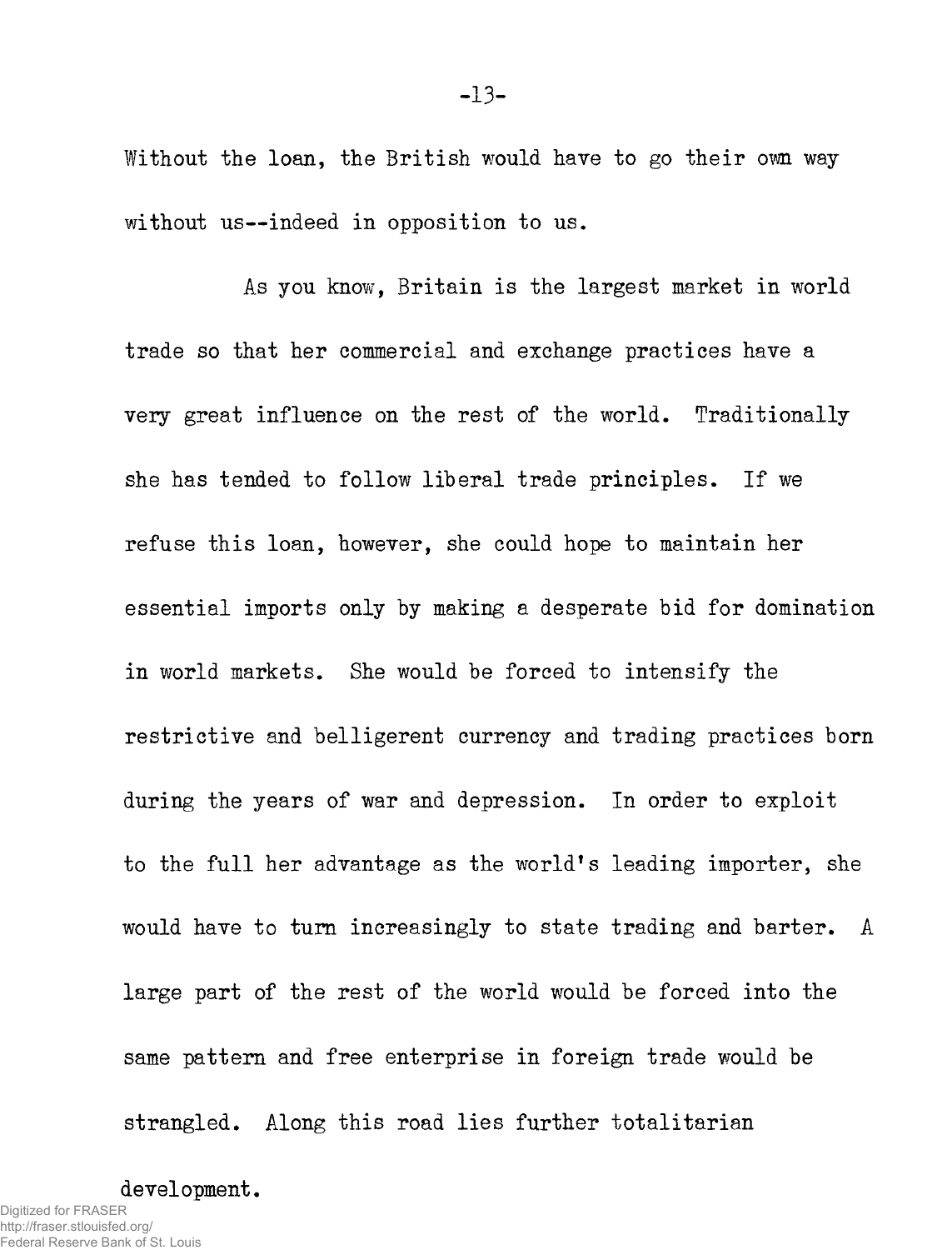**Without the loan, the British would have to go their own way without us—indeed in opposition to us.** 

As you know, Britain is the largest market in world **trade so that her commercial and exchange practices have a very great influence on the rest of the world. Traditionally she has tended to follow liberal trade principles. If we refuse this loan, however, she could hope to maintain her essential imports only by making a desperate bid for domination in world markets. She would be forced to intensify the restrictive and belligerent currency and trading practices born during the years of war and depression. In order to exploit**  to the full her advantage as the world's leading importer, she **would have to turn increasingly to state trading and barter. A large part of the rest of the world would be forced into the same pattern and free enterprise in foreign trade would be strangled. Along this road lies further totalitarian** 

**development.**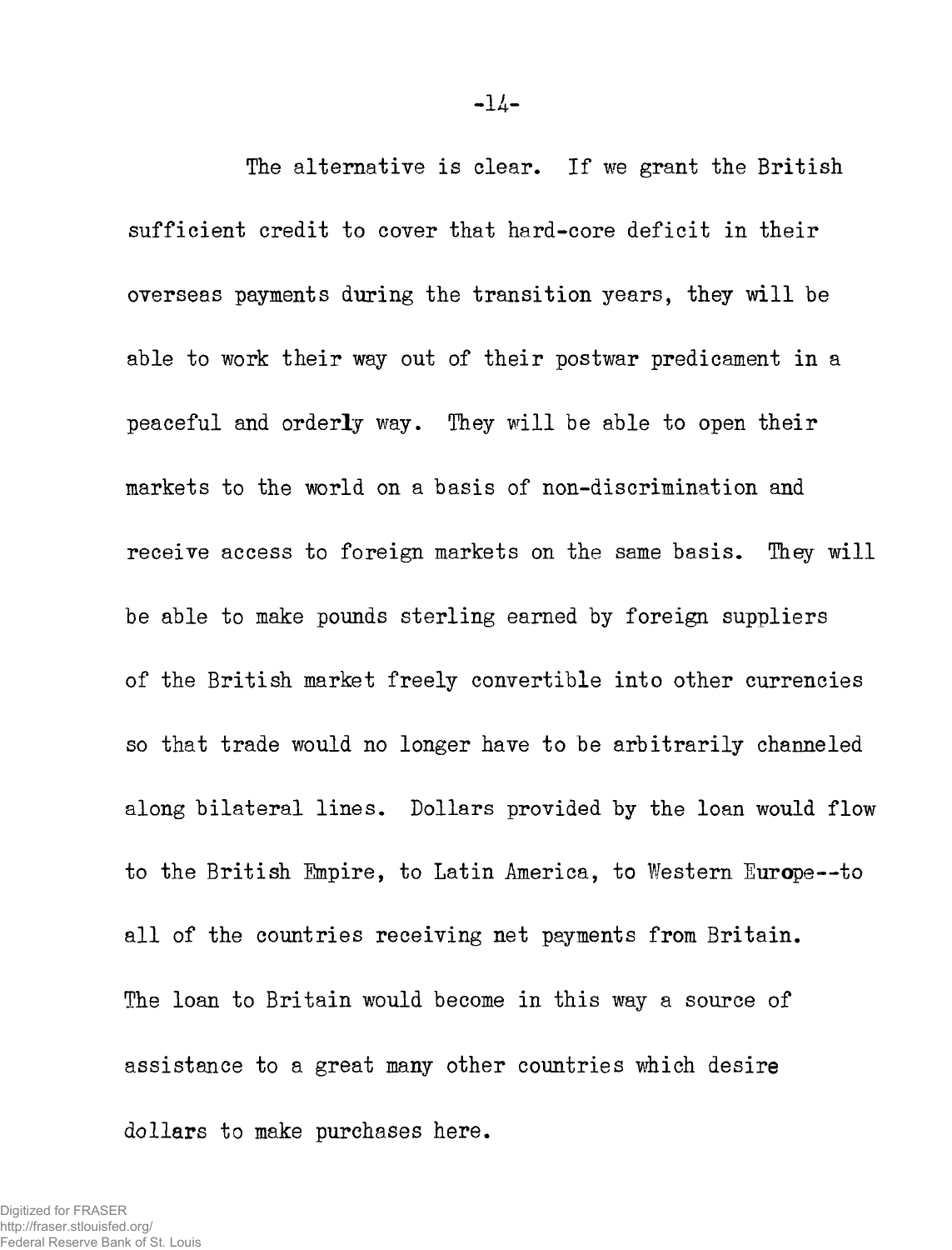**The alternative is clear. If we grant the British sufficient credit to cover that hard-core deficit in their overseas payments during the transition years, they will be able to work their way out of their postwar predicament in a peaceful and orderly way. They will be able to open their markets to the world on a basis of non-discrimination and receive access to foreign markets on the same basis. They will be able to make pounds sterling earned by foreign suppliers of the British market freely convertible into other currencies so that trade would no longer have to be arbitrarily channeled along bilateral lines. Dollars provided by the loan would flow to the British Empire, to Latin America, to Western Europe—to all of the countries receiving net payments from Britain. The loan to Britain would become in this way a source of assistance to a great many other countries which desire dollars to make purchases here.**